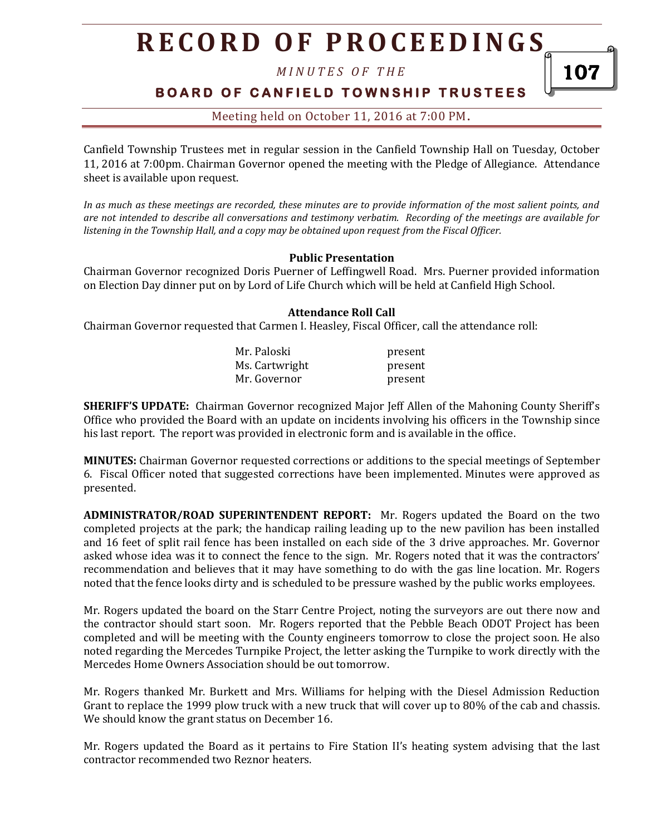*M I N U T E S O F T H E* 

## **B O A R D O F C A N F I E L D T O W N S H I P T R U S T E E S**

107

### Meeting held on October 11, 2016 at 7:00 PM**.**

Canfield Township Trustees met in regular session in the Canfield Township Hall on Tuesday, October 11, 2016 at 7:00pm. Chairman Governor opened the meeting with the Pledge of Allegiance. Attendance sheet is available upon request.

*In as much as these meetings are recorded, these minutes are to provide information of the most salient points, and are not intended to describe all conversations and testimony verbatim. Recording of the meetings are available for listening in the Township Hall, and a copy may be obtained upon request from the Fiscal Officer.* 

#### **Public Presentation**

Chairman Governor recognized Doris Puerner of Leffingwell Road. Mrs. Puerner provided information on Election Day dinner put on by Lord of Life Church which will be held at Canfield High School.

#### **Attendance Roll Call**

Chairman Governor requested that Carmen I. Heasley, Fiscal Officer, call the attendance roll:

| Mr. Paloski    | present |
|----------------|---------|
| Ms. Cartwright | present |
| Mr. Governor   | present |

**SHERIFF'S UPDATE:** Chairman Governor recognized Major Jeff Allen of the Mahoning County Sheriff's Office who provided the Board with an update on incidents involving his officers in the Township since his last report. The report was provided in electronic form and is available in the office.

**MINUTES:** Chairman Governor requested corrections or additions to the special meetings of September 6. Fiscal Officer noted that suggested corrections have been implemented. Minutes were approved as presented.

**ADMINISTRATOR/ROAD SUPERINTENDENT REPORT:** Mr. Rogers updated the Board on the two completed projects at the park; the handicap railing leading up to the new pavilion has been installed and 16 feet of split rail fence has been installed on each side of the 3 drive approaches. Mr. Governor asked whose idea was it to connect the fence to the sign. Mr. Rogers noted that it was the contractors' recommendation and believes that it may have something to do with the gas line location. Mr. Rogers noted that the fence looks dirty and is scheduled to be pressure washed by the public works employees.

Mr. Rogers updated the board on the Starr Centre Project, noting the surveyors are out there now and the contractor should start soon. Mr. Rogers reported that the Pebble Beach ODOT Project has been completed and will be meeting with the County engineers tomorrow to close the project soon. He also noted regarding the Mercedes Turnpike Project, the letter asking the Turnpike to work directly with the Mercedes Home Owners Association should be out tomorrow.

Mr. Rogers thanked Mr. Burkett and Mrs. Williams for helping with the Diesel Admission Reduction Grant to replace the 1999 plow truck with a new truck that will cover up to 80% of the cab and chassis. We should know the grant status on December 16.

Mr. Rogers updated the Board as it pertains to Fire Station II's heating system advising that the last contractor recommended two Reznor heaters.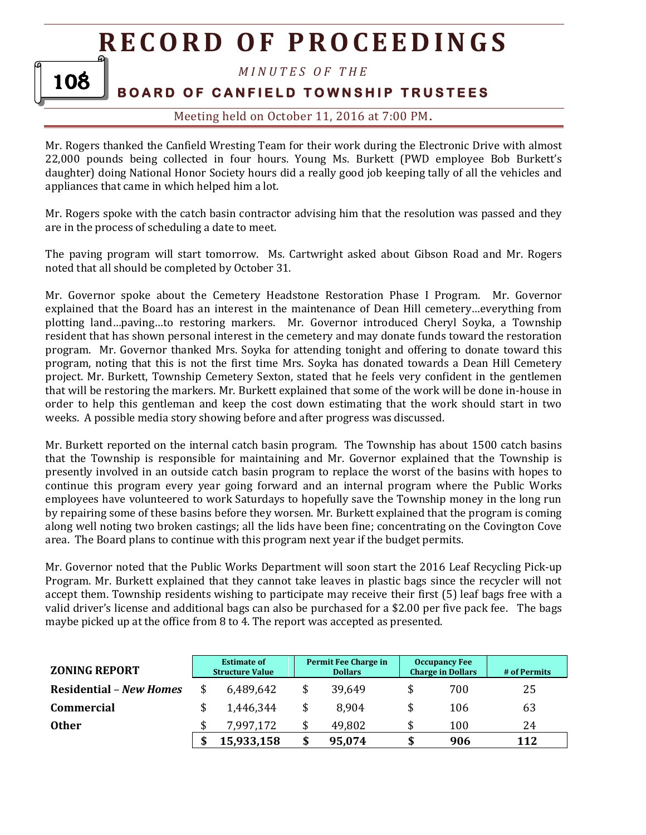#### *M I N U T E S O F T H E*

# **BOARD OF CANFIELD TOWNSHIP TRUSTEES**

108

### Meeting held on October 11, 2016 at 7:00 PM**.**

Mr. Rogers thanked the Canfield Wresting Team for their work during the Electronic Drive with almost 22,000 pounds being collected in four hours. Young Ms. Burkett (PWD employee Bob Burkett's daughter) doing National Honor Society hours did a really good job keeping tally of all the vehicles and appliances that came in which helped him a lot.

Mr. Rogers spoke with the catch basin contractor advising him that the resolution was passed and they are in the process of scheduling a date to meet.

The paving program will start tomorrow. Ms. Cartwright asked about Gibson Road and Mr. Rogers noted that all should be completed by October 31.

Mr. Governor spoke about the Cemetery Headstone Restoration Phase I Program. Mr. Governor explained that the Board has an interest in the maintenance of Dean Hill cemetery…everything from plotting land…paving…to restoring markers. Mr. Governor introduced Cheryl Soyka, a Township resident that has shown personal interest in the cemetery and may donate funds toward the restoration program. Mr. Governor thanked Mrs. Soyka for attending tonight and offering to donate toward this program, noting that this is not the first time Mrs. Soyka has donated towards a Dean Hill Cemetery project. Mr. Burkett, Township Cemetery Sexton, stated that he feels very confident in the gentlemen that will be restoring the markers. Mr. Burkett explained that some of the work will be done in-house in order to help this gentleman and keep the cost down estimating that the work should start in two weeks. A possible media story showing before and after progress was discussed.

Mr. Burkett reported on the internal catch basin program. The Township has about 1500 catch basins that the Township is responsible for maintaining and Mr. Governor explained that the Township is presently involved in an outside catch basin program to replace the worst of the basins with hopes to continue this program every year going forward and an internal program where the Public Works employees have volunteered to work Saturdays to hopefully save the Township money in the long run by repairing some of these basins before they worsen. Mr. Burkett explained that the program is coming along well noting two broken castings; all the lids have been fine; concentrating on the Covington Cove area. The Board plans to continue with this program next year if the budget permits.

Mr. Governor noted that the Public Works Department will soon start the 2016 Leaf Recycling Pick-up Program. Mr. Burkett explained that they cannot take leaves in plastic bags since the recycler will not accept them. Township residents wishing to participate may receive their first (5) leaf bags free with a valid driver's license and additional bags can also be purchased for a \$2.00 per five pack fee. The bags maybe picked up at the office from 8 to 4. The report was accepted as presented.

| <b>ZONING REPORT</b>           | <b>Estimate of</b><br><b>Structure Value</b> | Permit Fee Charge in<br><b>Dollars</b> | <b>Occupancy Fee</b><br><b>Charge in Dollars</b> | # of Permits |
|--------------------------------|----------------------------------------------|----------------------------------------|--------------------------------------------------|--------------|
| <b>Residential - New Homes</b> | 6,489,642                                    | 39,649                                 | 700                                              | 25           |
| <b>Commercial</b>              | 1,446,344                                    | 8,904                                  | 106                                              | 63           |
| <b>Other</b>                   | 7,997,172                                    | 49,802                                 | \$<br>100                                        | 24           |
|                                | 15,933,158                                   | 95,074                                 | \$<br>906                                        | 112          |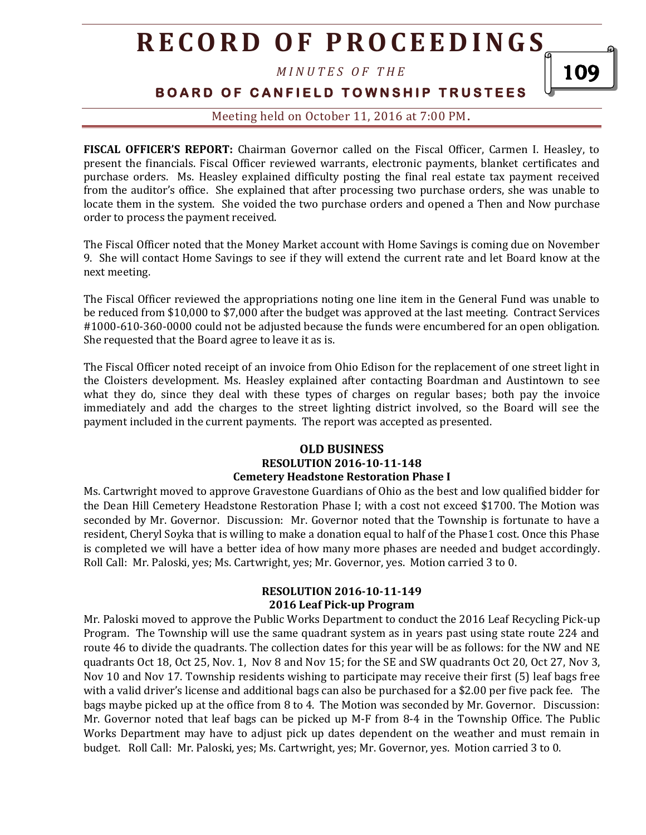*M I N U T E S O F T H E* 

**BOARD OF CANFIELD TOWNSHIP TRUSTEES** 

109

Meeting held on October 11, 2016 at 7:00 PM**.**

**FISCAL OFFICER'S REPORT:** Chairman Governor called on the Fiscal Officer, Carmen I. Heasley, to present the financials. Fiscal Officer reviewed warrants, electronic payments, blanket certificates and purchase orders. Ms. Heasley explained difficulty posting the final real estate tax payment received from the auditor's office. She explained that after processing two purchase orders, she was unable to locate them in the system. She voided the two purchase orders and opened a Then and Now purchase order to process the payment received.

The Fiscal Officer noted that the Money Market account with Home Savings is coming due on November 9. She will contact Home Savings to see if they will extend the current rate and let Board know at the next meeting.

The Fiscal Officer reviewed the appropriations noting one line item in the General Fund was unable to be reduced from \$10,000 to \$7,000 after the budget was approved at the last meeting. Contract Services #1000-610-360-0000 could not be adjusted because the funds were encumbered for an open obligation. She requested that the Board agree to leave it as is.

The Fiscal Officer noted receipt of an invoice from Ohio Edison for the replacement of one street light in the Cloisters development. Ms. Heasley explained after contacting Boardman and Austintown to see what they do, since they deal with these types of charges on regular bases; both pay the invoice immediately and add the charges to the street lighting district involved, so the Board will see the payment included in the current payments. The report was accepted as presented.

#### **OLD BUSINESS RESOLUTION 2016-10-11-148 Cemetery Headstone Restoration Phase I**

Ms. Cartwright moved to approve Gravestone Guardians of Ohio as the best and low qualified bidder for the Dean Hill Cemetery Headstone Restoration Phase I; with a cost not exceed \$1700. The Motion was seconded by Mr. Governor. Discussion: Mr. Governor noted that the Township is fortunate to have a resident, Cheryl Soyka that is willing to make a donation equal to half of the Phase1 cost. Once this Phase is completed we will have a better idea of how many more phases are needed and budget accordingly. Roll Call: Mr. Paloski, yes; Ms. Cartwright, yes; Mr. Governor, yes. Motion carried 3 to 0.

#### **RESOLUTION 2016-10-11-149 2016 Leaf Pick-up Program**

Mr. Paloski moved to approve the Public Works Department to conduct the 2016 Leaf Recycling Pick-up Program. The Township will use the same quadrant system as in years past using state route 224 and route 46 to divide the quadrants. The collection dates for this year will be as follows: for the NW and NE quadrants Oct 18, Oct 25, Nov. 1, Nov 8 and Nov 15; for the SE and SW quadrants Oct 20, Oct 27, Nov 3, Nov 10 and Nov 17. Township residents wishing to participate may receive their first (5) leaf bags free with a valid driver's license and additional bags can also be purchased for a \$2.00 per five pack fee. The bags maybe picked up at the office from 8 to 4. The Motion was seconded by Mr. Governor. Discussion: Mr. Governor noted that leaf bags can be picked up M-F from 8-4 in the Township Office. The Public Works Department may have to adjust pick up dates dependent on the weather and must remain in budget. Roll Call: Mr. Paloski, yes; Ms. Cartwright, yes; Mr. Governor, yes. Motion carried 3 to 0.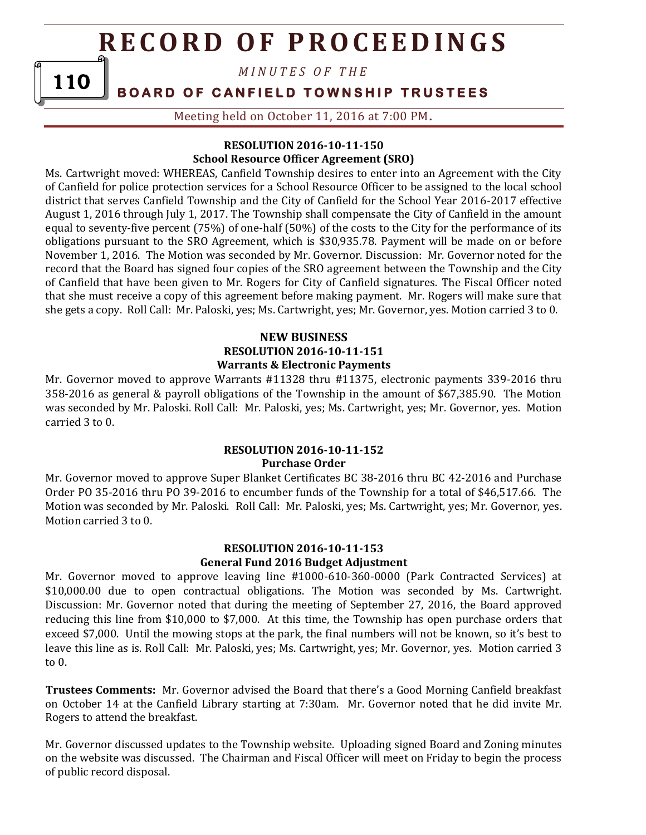*M I N U T E S O F T H E* 

**BOARD OF CANFIELD TOWNSHIP TRUSTEES** 

110

Meeting held on October 11, 2016 at 7:00 PM**.**

### **RESOLUTION 2016-10-11-150 School Resource Officer Agreement (SRO)**

Ms. Cartwright moved: WHEREAS, Canfield Township desires to enter into an Agreement with the City of Canfield for police protection services for a School Resource Officer to be assigned to the local school district that serves Canfield Township and the City of Canfield for the School Year 2016-2017 effective August 1, 2016 through July 1, 2017. The Township shall compensate the City of Canfield in the amount equal to seventy-five percent (75%) of one-half (50%) of the costs to the City for the performance of its obligations pursuant to the SRO Agreement, which is \$30,935.78. Payment will be made on or before November 1, 2016. The Motion was seconded by Mr. Governor. Discussion: Mr. Governor noted for the record that the Board has signed four copies of the SRO agreement between the Township and the City of Canfield that have been given to Mr. Rogers for City of Canfield signatures. The Fiscal Officer noted that she must receive a copy of this agreement before making payment. Mr. Rogers will make sure that she gets a copy. Roll Call: Mr. Paloski, yes; Ms. Cartwright, yes; Mr. Governor, yes. Motion carried 3 to 0.

### **NEW BUSINESS RESOLUTION 2016-10-11-151 Warrants & Electronic Payments**

Mr. Governor moved to approve Warrants #11328 thru #11375, electronic payments 339-2016 thru 358-2016 as general & payroll obligations of the Township in the amount of \$67,385.90. The Motion was seconded by Mr. Paloski. Roll Call: Mr. Paloski, yes; Ms. Cartwright, yes; Mr. Governor, yes. Motion carried 3 to 0.

#### **RESOLUTION 2016-10-11-152 Purchase Order**

Mr. Governor moved to approve Super Blanket Certificates BC 38-2016 thru BC 42-2016 and Purchase Order PO 35-2016 thru PO 39-2016 to encumber funds of the Township for a total of \$46,517.66. The Motion was seconded by Mr. Paloski. Roll Call: Mr. Paloski, yes; Ms. Cartwright, yes; Mr. Governor, yes. Motion carried 3 to 0.

#### **RESOLUTION 2016-10-11-153 General Fund 2016 Budget Adjustment**

Mr. Governor moved to approve leaving line #1000-610-360-0000 (Park Contracted Services) at \$10,000.00 due to open contractual obligations. The Motion was seconded by Ms. Cartwright. Discussion: Mr. Governor noted that during the meeting of September 27, 2016, the Board approved reducing this line from \$10,000 to \$7,000. At this time, the Township has open purchase orders that exceed \$7,000. Until the mowing stops at the park, the final numbers will not be known, so it's best to leave this line as is. Roll Call: Mr. Paloski, yes; Ms. Cartwright, yes; Mr. Governor, yes. Motion carried 3 to 0.

**Trustees Comments:** Mr. Governor advised the Board that there's a Good Morning Canfield breakfast on October 14 at the Canfield Library starting at 7:30am. Mr. Governor noted that he did invite Mr. Rogers to attend the breakfast.

Mr. Governor discussed updates to the Township website. Uploading signed Board and Zoning minutes on the website was discussed. The Chairman and Fiscal Officer will meet on Friday to begin the process of public record disposal.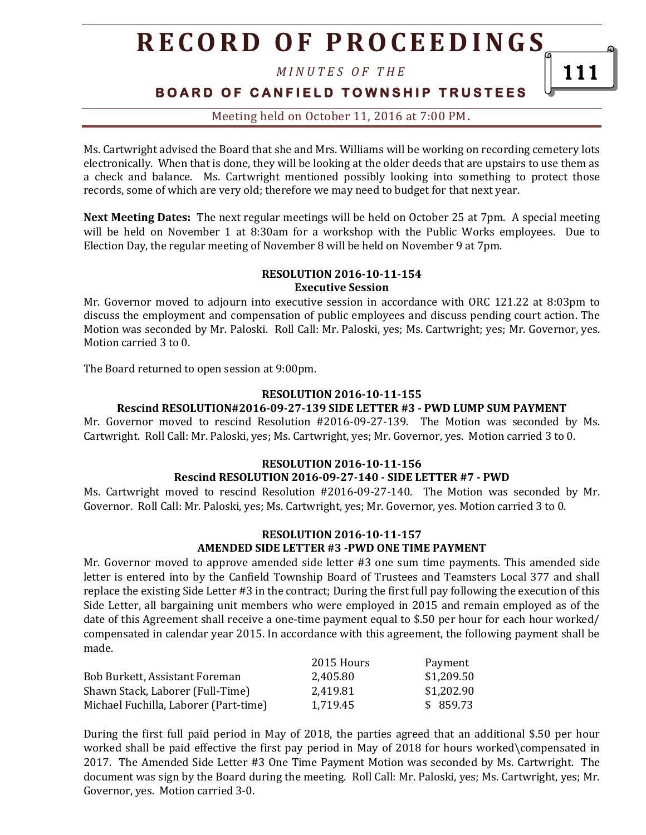*M I N U T E S O F T H E* 

**BOARD OF CANFIELD TOWNSHIP TRUSTEES** 

111

Meeting held on October 11, 2016 at 7:00 PM**.**

Ms. Cartwright advised the Board that she and Mrs. Williams will be working on recording cemetery lots electronically. When that is done, they will be looking at the older deeds that are upstairs to use them as a check and balance. Ms. Cartwright mentioned possibly looking into something to protect those records, some of which are very old; therefore we may need to budget for that next year.

**Next Meeting Dates:** The next regular meetings will be held on October 25 at 7pm. A special meeting will be held on November 1 at 8:30am for a workshop with the Public Works employees. Due to Election Day, the regular meeting of November 8 will be held on November 9 at 7pm.

#### **RESOLUTION 2016-10-11-154 Executive Session**

Mr. Governor moved to adjourn into executive session in accordance with ORC 121.22 at 8:03pm to discuss the employment and compensation of public employees and discuss pending court action. The Motion was seconded by Mr. Paloski. Roll Call: Mr. Paloski, yes; Ms. Cartwright; yes; Mr. Governor, yes. Motion carried 3 to 0.

The Board returned to open session at 9:00pm.

#### **RESOLUTION 2016-10-11-155**

#### **Rescind RESOLUTION#2016-09-27-139 SIDE LETTER #3 - PWD LUMP SUM PAYMENT**

Mr. Governor moved to rescind Resolution #2016-09-27-139. The Motion was seconded by Ms. Cartwright. Roll Call: Mr. Paloski, yes; Ms. Cartwright, yes; Mr. Governor, yes. Motion carried 3 to 0.

#### **RESOLUTION 2016-10-11-156**

#### **Rescind RESOLUTION 2016-09-27-140 - SIDE LETTER #7 - PWD**

Ms. Cartwright moved to rescind Resolution #2016-09-27-140. The Motion was seconded by Mr. Governor. Roll Call: Mr. Paloski, yes; Ms. Cartwright, yes; Mr. Governor, yes. Motion carried 3 to 0.

#### **RESOLUTION 2016-10-11-157 AMENDED SIDE LETTER #3 -PWD ONE TIME PAYMENT**

Mr. Governor moved to approve amended side letter #3 one sum time payments. This amended side letter is entered into by the Canfield Township Board of Trustees and Teamsters Local 377 and shall replace the existing Side Letter #3 in the contract; During the first full pay following the execution of this Side Letter, all bargaining unit members who were employed in 2015 and remain employed as of the date of this Agreement shall receive a one-time payment equal to \$.50 per hour for each hour worked/ compensated in calendar year 2015. In accordance with this agreement, the following payment shall be made.

|                                       | 2015 Hours | Payment    |
|---------------------------------------|------------|------------|
| Bob Burkett, Assistant Foreman        | 2,405.80   | \$1,209.50 |
| Shawn Stack, Laborer (Full-Time)      | 2.419.81   | \$1,202.90 |
| Michael Fuchilla, Laborer (Part-time) | 1,719.45   | \$859.73   |

During the first full paid period in May of 2018, the parties agreed that an additional \$.50 per hour worked shall be paid effective the first pay period in May of 2018 for hours worked\compensated in 2017. The Amended Side Letter #3 One Time Payment Motion was seconded by Ms. Cartwright. The document was sign by the Board during the meeting. Roll Call: Mr. Paloski, yes; Ms. Cartwright, yes; Mr. Governor, yes. Motion carried 3-0.